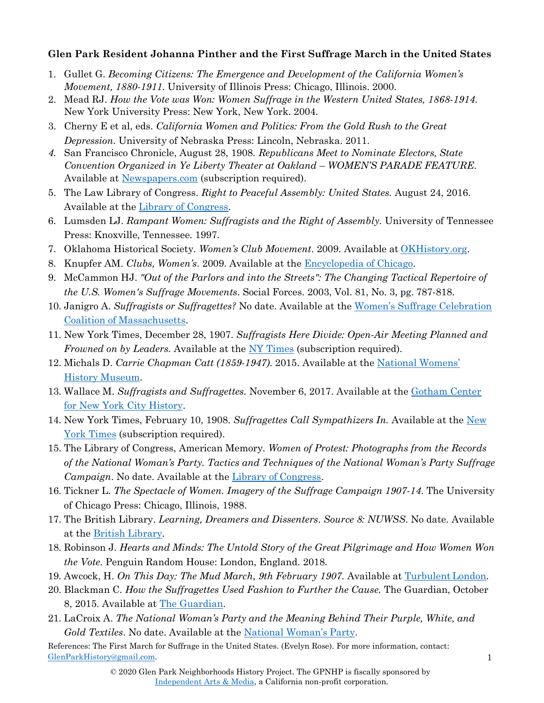## **Glen Park Resident Johanna Pinther and the First Suffrage March in the United States**

- 1. Gullet G. *Becoming Citizens: The Emergence and Development of the California Women's Movement, 1880-1911*. University of Illinois Press: Chicago, Illinois. 2000.
- 2. Mead RJ. *How the Vote was Won: Women Suffrage in the Western United States, 1868-1914*. New York University Press: New York, New York. 2004.
- 3. Cherny E et al, eds. *California Women and Politics: From the Gold Rush to the Great Depression*. University of Nebraska Press: Lincoln, Nebraska. 2011.
- *4.* San Francisco Chronicle, August 28, 1908. *Republicans Meet to Nominate Electors, State Convention Organized in Ye Liberty Theater at Oakland* – *WOMEN'S PARADE FEATURE*. Available at [Newspapers.com](http://www.newspapers.com/) (subscription required).
- 5. The Law Library of Congress. *Right to Peaceful Assembly: United States.* August 24, 2016. Available at the [Library of Congress.](https://www.loc.gov/law/help/peaceful-assembly/us.php)
- 6. Lumsden LJ. *Rampant Women: Suffragists and the Right of Assembly.* University of Tennessee Press: Knoxville, Tennessee. 1997.
- 7. Oklahoma Historical Society. *Women's Club Movement*. 2009. Available at [OKHistory.org.](http://www.okhistory.org/publications/enc/entry.php?entry=WO002)
- 8. Knupfer AM. *Clubs, Women's*. 2009. Available at the [Encyclopedia of](http://www.encyclopedia.chicagohistory.org/pages/306.html) Chicago.
- 9. McCammon HJ. *"Out of the Parlors and into the Streets": The Changing Tactical Repertoire of the U.S. Women's Suffrage Movements*. Social Forces. 2003, Vol. 81, No. 3, pg. 787-818.
- 10. Janigro A. *Suffragists or Suffragettes?* No date. Available at the [Women's Suffrage Celebration](http://suffrage100ma.org/suffragists-or-suffragettes/) Coalition of [Massachusetts.](http://suffrage100ma.org/suffragists-or-suffragettes/)
- 11. New York Times, December 28, 1907. *Suffragists Here Divide: Open-Air Meeting Planned and Frowned on by Leaders.* Available at the [NY Times](http://www.nytimes.com/) (subscription required).
- 12. Michals D. *Carrie Chapman Catt (1859-1947)*. 2015. Available at the [National Womens'](https://www.womenshistory.org/education-resources/biographies/carrie-chapman-catt) History [Museum.](https://www.womenshistory.org/education-resources/biographies/carrie-chapman-catt)
- 13. Wallace M. *Suffragists and Suffragettes.* November 6, 2017. Available at the [Gotham Center](https://www.gothamcenter.org/blog/suffragists-and-suffragettes) [for New York City](https://www.gothamcenter.org/blog/suffragists-and-suffragettes) History.
- 14. New York Times, February 10, 1908. *Suffragettes Call Sympathizers In.* Available at the [New](http://www.nytimes.com/) [York Times](http://www.nytimes.com/) (subscription required).
- 15. The Library of Congress, American Memory*. Women of Protest: Photographs from the Records of the National Woman's Party. Tactics and Techniques of the National Woman's Party Suffrage Campaign*. No date. Available at the [Library of](https://www.loc.gov/collections/static/women-of-protest/images/tactics.pdf) Congress.
- 16. Tickner L. *The Spectacle of Women. Imagery of the Suffrage Campaign 1907-14*. The University of Chicago Press: Chicago, Illinois, 1988.
- 17. The British Library. *Learning, Dreamers and Dissenters*. *Source 8: NUWSS*. No date. Available at the British [Library.](http://www.bl.uk/learning/histcitizen/21cc/struggle/suffrage/sources/source8/nuwss.html)
- 18. Robinson J. *Hearts and Minds: The Untold Story of the Great Pilgrimage and How Women Won the Vote*. Penguin Random House: London, England. 2018.
- 19. Awcock, H. *On This Day: The Mud March, 9th February 1907.* Available at [TurbulentLondon.](https://turbulentlondon.com/2017/02/09/on-this-day-the-mud-march-9th-february-1907/)
- 20. Blackman C. *How the Suffragettes Used Fashion to Further the Cause.* The Guardian, October 8, 2015. Available at The [Guardian.](https://www.theguardian.com/fashion/2015/oct/08/suffragette-style-movement-embraced-fashion-branding)
- 21. LaCroix A. *The National Woman's Party and the Meaning Behind Their Purple, White, and Gold Textiles*. No date. Available at the [National Woman's](http://nationalwomansparty.org/the-national-womans-party-and-the-meaning-behind-their-purple-white-and-gold-textiles/) Party.

References: The First March for Suffrage in the United States. (Evelyn Rose). For more information, contact: [GlenParkHistory@gmail.com.](mailto:GlenParkHistory@gmail.com)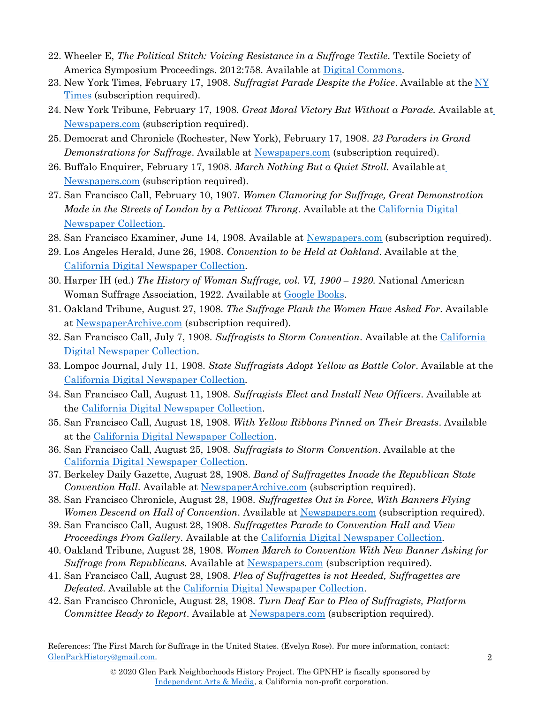- 22. Wheeler E, *The Political Stitch: Voicing Resistance in a Suffrage Textile*. Textile Society of America Symposium Proceedings. 2012:758. Available at Digital Commons.
- 23. New York Times, February 17, 1908. *Suffragist Parade Despite the Police*. Available at the [NY](http://www.nytimes.com/) [Times](http://www.nytimes.com/) (subscription required).
- 24. New York Tribune, February 17, 1908. *Great Moral Victory But Without a Parade.* Available at [Newspapers.com](http://www.newspapers.com/) (subscription required).
- 25. Democrat and Chronicle (Rochester, New York), February 17, 1908. *23 Paraders in Grand Demonstrations for Suffrage*. Available at [Newspapers.com](http://www.newspapers.com/) (subscription required).
- 26. Buffalo Enquirer, February 17, 1908. *March Nothing But a Quiet Stroll.* Availableat [Newspapers.com](http://www.newspapers.com/) (subscription required).
- 27. San Francisco Call, February 10, 1907. *Women Clamoring for Suffrage, Great Demonstration Made in the Streets of London by a Petticoat Throng*. Available at the [California Digital](https://cdnc.ucr.edu/cgi-bin/cdnc?a=d&d=SFC19070210.2.137.5&srpos=6&e=------190-en--20--1-byDA-txt-txIN-London%2Bsuffrage----1907---1) [Newspaper Collection.](https://cdnc.ucr.edu/cgi-bin/cdnc?a=d&d=SFC19070210.2.137.5&srpos=6&e=------190-en--20--1-byDA-txt-txIN-London%2Bsuffrage----1907---1)
- 28. San Francisco Examiner, June 14, 1908. Available at [Newspapers.com](http://www.newspapers.com/) (subscription required).
- 29. [Los Angeles Herald, June 26, 1908.](https://cdnc.ucr.edu/cgi-bin/cdnc?a=d&d=LAH19080626.2.17&srpos=68&e=------190-en--20--61-byDA-txt-txIN-%22republican%2Bconvention%22%2Boakland----1908---1) *Convention to be Held at Oakland*. Available at the California Digital Newspaper Collection.
- 30. Harper IH (ed.) *The History of Woman Suffrage, vol. VI, 1900 1920*. National American Woman Suffrage Association, 1922. Available at [Google](https://books.google.com/books?id=rIoEAAAAYAAJ&printsec=frontcover%23v%3Donepage&q&f=false) Books.
- 31. Oakland Tribune, August 27, 1908. *The Suffrage Plank the Women Have Asked For*. Available at [NewspaperArchive.com](http://www.newspaperarchive.com/) (subscription required).
- 32. [San Francisco Call, July 7, 1](https://cdnc.ucr.edu/cgi-bin/cdnc?a=d&d=SFC19080707.2.48&srpos=74&e=------190-en--20--61-byDA-txt-txIN-%22republican%2Bconvention%22%2Boakland----1908---1)908. *Suffragists to Storm Convention*. Available at the California Digital Newspaper Collection.
- 33. [Lompoc Journal, July 11, 1908.](https://cdnc.ucr.edu/cgi-bin/cdnc?a=d&d=LJ19080711.2.16&srpos=78&e=------190-en--20--61-byDA-txt-txIN-%22republican%2Bconvention%22%2Boakland----1908---1) *State Suffragists Adopt Yellow as Battle Color*. Available at the California Digital Newspaper Collection.
- 34. San Francisco Call, August 11, 1908. *Suffragists Elect and Install New Officers*. Available at the [California Digital Newspaper](https://cdnc.ucr.edu/cgi-bin/cdnc?a=d&d=SFC19080811.2.80&srpos=86&e=------190-en--20--81-byDA-txt-txIN-%22republican%2Bconvention%22%2Boakland----1908---1) Collection.
- 35. San Francisco Call, August 18, 1908. *With Yellow Ribbons Pinned on Their Breasts*. Available at the [California Digital Newspaper](https://cdnc.ucr.edu/cgi-bin/cdnc?a=d&d=SFC19080818.2.85.33&srpos=90&e=------190-en--20--81-byDA-txt-txIN-%22republican%2Bconvention%22%2Boakland----1908---1) Collection.
- 36. [San Francisco Call, August 25, 1908.](https://cdnc.ucr.edu/cgi-bin/cdnc?a=d&d=SFC19080825.2.115&srpos=103&e=------190-en--20--101-byDA-txt-txIN-%22republican%2Bconvention%22%2Boakland----1908---1) *Suffragists to Storm Convention*. Available at the California Digital Newspaper Collection.
- 37. Berkeley Daily Gazette, August 28, 1908. *Band of Suffragettes Invade the Republican State Convention Hall*. Available at [NewspaperArchive.com](http://www.newspaperarchive.com/) (subscription required).
- 38. San Francisco Chronicle, August 28, 1908. *Suffragettes Out in Force, With Banners Flying Women Descend on Hall of Convention*. Available at [Newspapers.com](http://www.newspapers.com/) (subscription required).
- 39. San Francisco Call, August 28, 1908. *Suffragettes Parade to Convention Hall and View Proceedings From Gallery.* Available at the [California Digital Newspaper](https://cdnc.ucr.edu/cgi-bin/cdnc?a=d&d=SFC19080828.2.14.1&srpos=108&e=------190-en--20--101-byDA-txt-txIN-%22republican%2Bconvention%22%2Boakland----1908---1) Collection.
- 40. Oakland Tribune, August 28, 1908. *Women March to Convention With New Banner Asking for Suffrage from Republicans.* Available at [Newspapers.com](http://www.newspapers.com/) (subscription required).
- 41. San Francisco Call, August 28, 1908. *Plea of Suffragettes is not Heeded, Suffragettes are Defeated*. Available at the [California Digital Newspaper](https://cdnc.ucr.edu/cgi-bin/cdnc?a=d&d=SFC19080828.2.14.1&srpos=108&e=------190-en--20--101-byDA-txt-txIN-%22republican%2Bconvention%22%2Boakland----1908---1) Collection.
- 42. San Francisco Chronicle, August 28, 1908. *Turn Deaf Ear to Plea of Suffragists, Platform Committee Ready to Report*. Available at [Newspapers.com](http://www.newspapers.com/) (subscription required).

References: The First March for Suffrage in the United States. (Evelyn Rose). For more information, contact: [GlenParkHistory@gmail.com.](mailto:GlenParkHistory@gmail.com)